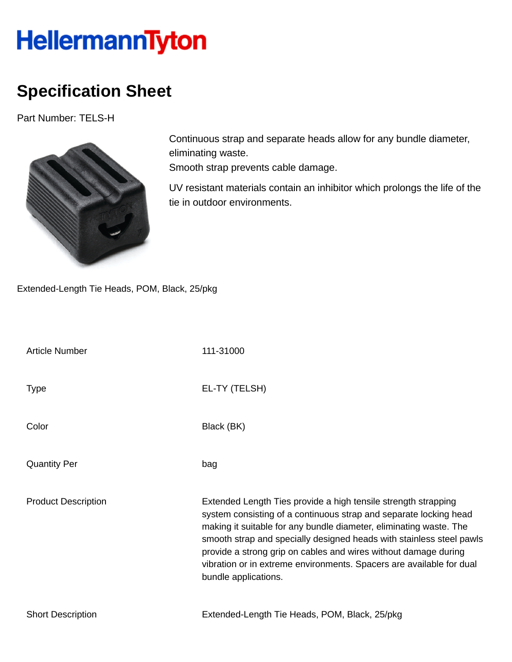## HellermannTyton

## **Specification Sheet**

Part Number: TELS-H



Continuous strap and separate heads allow for any bundle diameter, eliminating waste.

Smooth strap prevents cable damage.

UV resistant materials contain an inhibitor which prolongs the life of the tie in outdoor environments.

Extended-Length Tie Heads, POM, Black, 25/pkg

| <b>Article Number</b>      | 111-31000                                                                                                                                                                                                                                                                                                                                                                                                                                            |
|----------------------------|------------------------------------------------------------------------------------------------------------------------------------------------------------------------------------------------------------------------------------------------------------------------------------------------------------------------------------------------------------------------------------------------------------------------------------------------------|
| Type                       | EL-TY (TELSH)                                                                                                                                                                                                                                                                                                                                                                                                                                        |
| Color                      | Black (BK)                                                                                                                                                                                                                                                                                                                                                                                                                                           |
| <b>Quantity Per</b>        | bag                                                                                                                                                                                                                                                                                                                                                                                                                                                  |
| <b>Product Description</b> | Extended Length Ties provide a high tensile strength strapping<br>system consisting of a continuous strap and separate locking head<br>making it suitable for any bundle diameter, eliminating waste. The<br>smooth strap and specially designed heads with stainless steel pawls<br>provide a strong grip on cables and wires without damage during<br>vibration or in extreme environments. Spacers are available for dual<br>bundle applications. |
| <b>Short Description</b>   | Extended-Length Tie Heads, POM, Black, 25/pkg                                                                                                                                                                                                                                                                                                                                                                                                        |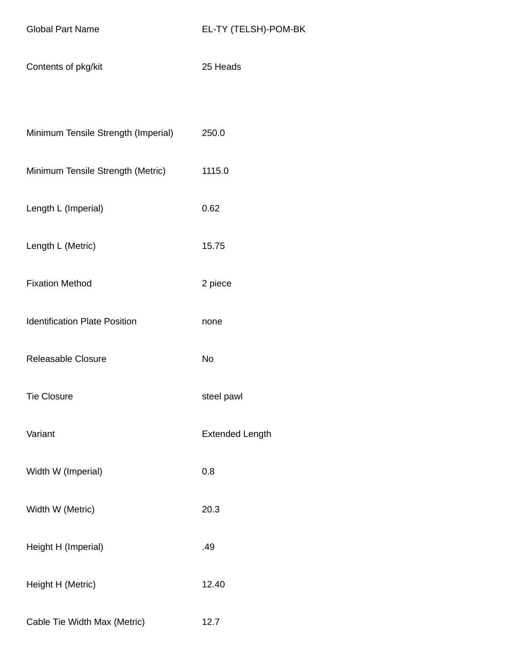| Contents of pkg/kit | 25 Heads |
|---------------------|----------|
|---------------------|----------|

| Minimum Tensile Strength (Imperial) | 250.0  |
|-------------------------------------|--------|
| Minimum Tensile Strength (Metric)   | 1115.0 |
| Length L (Imperial)                 | 0.62   |

- Length L (Metric) 15.75
- Fixation Method 2 piece
- Identification Plate Position **none**
- Releasable Closure No
- Tie Closure steel pawl
- Variant **Extended Length**
- Width W (Imperial) 0.8
- Width W (Metric) 20.3
- Height H (Imperial) **.49**
- Height H (Metric) 12.40
- Cable Tie Width Max (Metric) 12.7